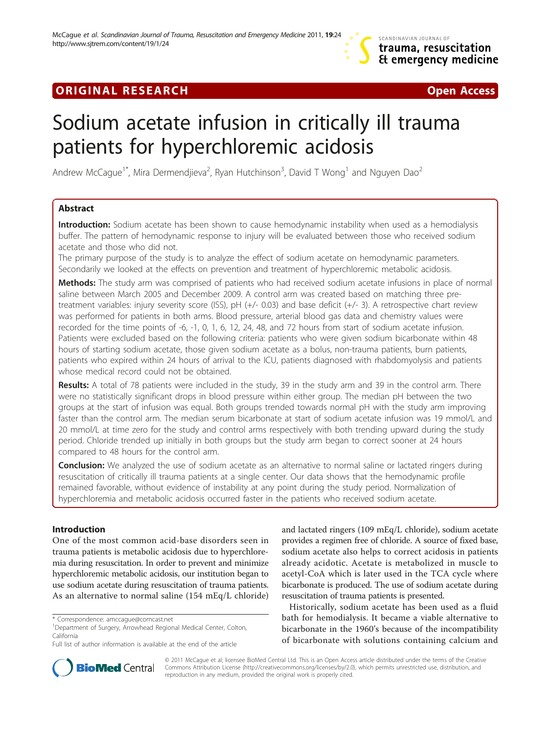# **ORIGINAL RESEARCH CONSUMING ACCESS**



# Sodium acetate infusion in critically ill trauma patients for hyperchloremic acidosis

Andrew McCague<sup>1\*</sup>, Mira Dermendjieva<sup>2</sup>, Ryan Hutchinson<sup>3</sup>, David T Wong<sup>1</sup> and Nguyen Dao<sup>2</sup>

# Abstract

Introduction: Sodium acetate has been shown to cause hemodynamic instability when used as a hemodialysis buffer. The pattern of hemodynamic response to injury will be evaluated between those who received sodium acetate and those who did not.

The primary purpose of the study is to analyze the effect of sodium acetate on hemodynamic parameters. Secondarily we looked at the effects on prevention and treatment of hyperchloremic metabolic acidosis.

Methods: The study arm was comprised of patients who had received sodium acetate infusions in place of normal saline between March 2005 and December 2009. A control arm was created based on matching three pretreatment variables: injury severity score (ISS), pH (+/- 0.03) and base deficit (+/- 3). A retrospective chart review was performed for patients in both arms. Blood pressure, arterial blood gas data and chemistry values were recorded for the time points of -6, -1, 0, 1, 6, 12, 24, 48, and 72 hours from start of sodium acetate infusion. Patients were excluded based on the following criteria: patients who were given sodium bicarbonate within 48 hours of starting sodium acetate, those given sodium acetate as a bolus, non-trauma patients, burn patients, patients who expired within 24 hours of arrival to the ICU, patients diagnosed with rhabdomyolysis and patients whose medical record could not be obtained.

Results: A total of 78 patients were included in the study, 39 in the study arm and 39 in the control arm. There were no statistically significant drops in blood pressure within either group. The median pH between the two groups at the start of infusion was equal. Both groups trended towards normal pH with the study arm improving faster than the control arm. The median serum bicarbonate at start of sodium acetate infusion was 19 mmol/L and 20 mmol/L at time zero for the study and control arms respectively with both trending upward during the study period. Chloride trended up initially in both groups but the study arm began to correct sooner at 24 hours compared to 48 hours for the control arm.

**Conclusion:** We analyzed the use of sodium acetate as an alternative to normal saline or lactated ringers during resuscitation of critically ill trauma patients at a single center. Our data shows that the hemodynamic profile remained favorable, without evidence of instability at any point during the study period. Normalization of hyperchloremia and metabolic acidosis occurred faster in the patients who received sodium acetate.

# Introduction

One of the most common acid-base disorders seen in trauma patients is metabolic acidosis due to hyperchloremia during resuscitation. In order to prevent and minimize hyperchloremic metabolic acidosis, our institution began to use sodium acetate during resuscitation of trauma patients. As an alternative to normal saline (154 mEq/L chloride)



Historically, sodium acetate has been used as a fluid bath for hemodialysis. It became a viable alternative to bicarbonate in the 1960's because of the incompatibility of bicarbonate with solutions containing calcium and



© 2011 McCague et al; licensee BioMed Central Ltd. This is an Open Access article distributed under the terms of the Creative Commons Attribution License [\(http://creativecommons.org/licenses/by/2.0](http://creativecommons.org/licenses/by/2.0)), which permits unrestricted use, distribution, and reproduction in any medium, provided the original work is properly cited.

<sup>\*</sup> Correspondence: [amccague@comcast.net](mailto:amccague@comcast.net)

<sup>&</sup>lt;sup>1</sup>Department of Surgery, Arrowhead Regional Medical Center, Colton, California

Full list of author information is available at the end of the article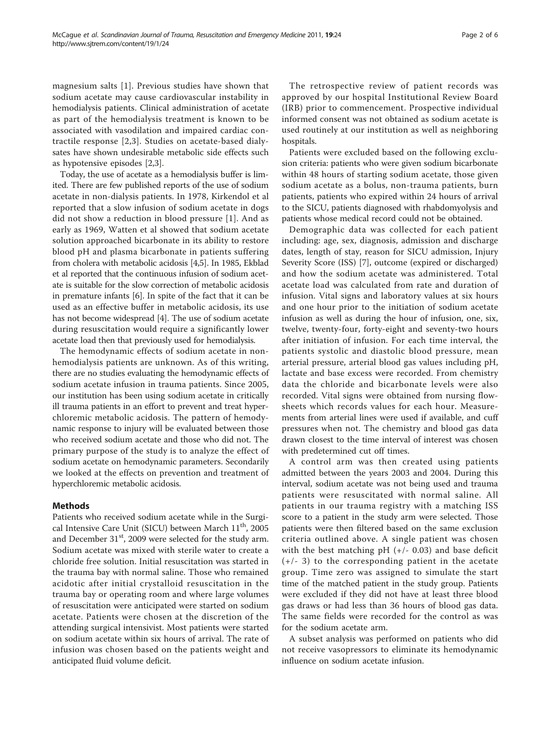magnesium salts [[1\]](#page-5-0). Previous studies have shown that sodium acetate may cause cardiovascular instability in hemodialysis patients. Clinical administration of acetate as part of the hemodialysis treatment is known to be associated with vasodilation and impaired cardiac contractile response [[2,3](#page-5-0)]. Studies on acetate-based dialysates have shown undesirable metabolic side effects such as hypotensive episodes [\[2,3\]](#page-5-0).

Today, the use of acetate as a hemodialysis buffer is limited. There are few published reports of the use of sodium acetate in non-dialysis patients. In 1978, Kirkendol et al reported that a slow infusion of sodium acetate in dogs did not show a reduction in blood pressure [\[1](#page-5-0)]. And as early as 1969, Watten et al showed that sodium acetate solution approached bicarbonate in its ability to restore blood pH and plasma bicarbonate in patients suffering from cholera with metabolic acidosis [[4,5](#page-5-0)]. In 1985, Ekblad et al reported that the continuous infusion of sodium acetate is suitable for the slow correction of metabolic acidosis in premature infants [\[6\]](#page-5-0). In spite of the fact that it can be used as an effective buffer in metabolic acidosis, its use has not become widespread [[4\]](#page-5-0). The use of sodium acetate during resuscitation would require a significantly lower acetate load then that previously used for hemodialysis.

The hemodynamic effects of sodium acetate in nonhemodialysis patients are unknown. As of this writing, there are no studies evaluating the hemodynamic effects of sodium acetate infusion in trauma patients. Since 2005, our institution has been using sodium acetate in critically ill trauma patients in an effort to prevent and treat hyperchloremic metabolic acidosis. The pattern of hemodynamic response to injury will be evaluated between those who received sodium acetate and those who did not. The primary purpose of the study is to analyze the effect of sodium acetate on hemodynamic parameters. Secondarily we looked at the effects on prevention and treatment of hyperchloremic metabolic acidosis.

# Methods

Patients who received sodium acetate while in the Surgical Intensive Care Unit (SICU) between March 11<sup>th</sup>, 2005 and December  $31<sup>st</sup>$ , 2009 were selected for the study arm. Sodium acetate was mixed with sterile water to create a chloride free solution. Initial resuscitation was started in the trauma bay with normal saline. Those who remained acidotic after initial crystalloid resuscitation in the trauma bay or operating room and where large volumes of resuscitation were anticipated were started on sodium acetate. Patients were chosen at the discretion of the attending surgical intensivist. Most patients were started on sodium acetate within six hours of arrival. The rate of infusion was chosen based on the patients weight and anticipated fluid volume deficit.

The retrospective review of patient records was approved by our hospital Institutional Review Board (IRB) prior to commencement. Prospective individual informed consent was not obtained as sodium acetate is used routinely at our institution as well as neighboring hospitals.

Patients were excluded based on the following exclusion criteria: patients who were given sodium bicarbonate within 48 hours of starting sodium acetate, those given sodium acetate as a bolus, non-trauma patients, burn patients, patients who expired within 24 hours of arrival to the SICU, patients diagnosed with rhabdomyolysis and patients whose medical record could not be obtained.

Demographic data was collected for each patient including: age, sex, diagnosis, admission and discharge dates, length of stay, reason for SICU admission, Injury Severity Score (ISS) [\[7](#page-5-0)], outcome (expired or discharged) and how the sodium acetate was administered. Total acetate load was calculated from rate and duration of infusion. Vital signs and laboratory values at six hours and one hour prior to the initiation of sodium acetate infusion as well as during the hour of infusion, one, six, twelve, twenty-four, forty-eight and seventy-two hours after initiation of infusion. For each time interval, the patients systolic and diastolic blood pressure, mean arterial pressure, arterial blood gas values including pH, lactate and base excess were recorded. From chemistry data the chloride and bicarbonate levels were also recorded. Vital signs were obtained from nursing flowsheets which records values for each hour. Measurements from arterial lines were used if available, and cuff pressures when not. The chemistry and blood gas data drawn closest to the time interval of interest was chosen with predetermined cut off times.

A control arm was then created using patients admitted between the years 2003 and 2004. During this interval, sodium acetate was not being used and trauma patients were resuscitated with normal saline. All patients in our trauma registry with a matching ISS score to a patient in the study arm were selected. Those patients were then filtered based on the same exclusion criteria outlined above. A single patient was chosen with the best matching pH  $(+/- 0.03)$  and base deficit  $(+/- 3)$  to the corresponding patient in the acetate group. Time zero was assigned to simulate the start time of the matched patient in the study group. Patients were excluded if they did not have at least three blood gas draws or had less than 36 hours of blood gas data. The same fields were recorded for the control as was for the sodium acetate arm.

A subset analysis was performed on patients who did not receive vasopressors to eliminate its hemodynamic influence on sodium acetate infusion.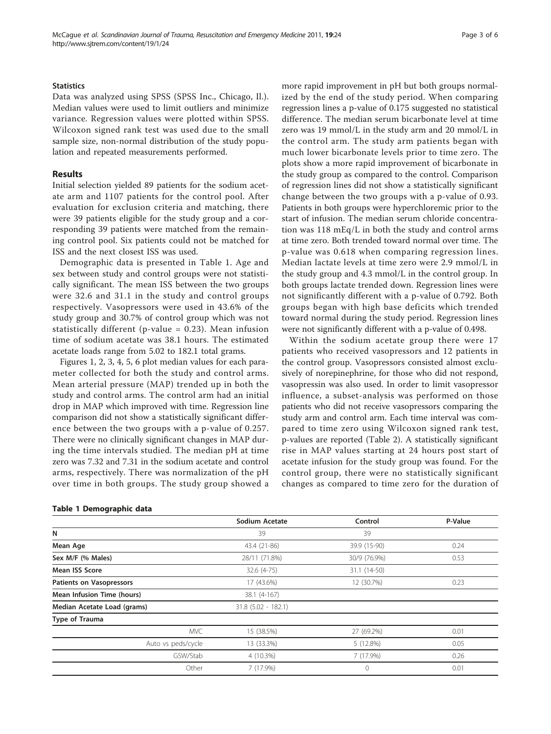#### **Statistics**

Data was analyzed using SPSS (SPSS Inc., Chicago, Il.). Median values were used to limit outliers and minimize variance. Regression values were plotted within SPSS. Wilcoxon signed rank test was used due to the small sample size, non-normal distribution of the study population and repeated measurements performed.

# Results

Initial selection yielded 89 patients for the sodium acetate arm and 1107 patients for the control pool. After evaluation for exclusion criteria and matching, there were 39 patients eligible for the study group and a corresponding 39 patients were matched from the remaining control pool. Six patients could not be matched for ISS and the next closest ISS was used.

Demographic data is presented in Table 1. Age and sex between study and control groups were not statistically significant. The mean ISS between the two groups were 32.6 and 31.1 in the study and control groups respectively. Vasopressors were used in 43.6% of the study group and 30.7% of control group which was not statistically different (p-value  $= 0.23$ ). Mean infusion time of sodium acetate was 38.1 hours. The estimated acetate loads range from 5.02 to 182.1 total grams.

Figures [1, 2, 3, 4](#page-3-0), [5](#page-4-0), [6](#page-4-0) plot median values for each parameter collected for both the study and control arms. Mean arterial pressure (MAP) trended up in both the study and control arms. The control arm had an initial drop in MAP which improved with time. Regression line comparison did not show a statistically significant difference between the two groups with a p-value of 0.257. There were no clinically significant changes in MAP during the time intervals studied. The median pH at time zero was 7.32 and 7.31 in the sodium acetate and control arms, respectively. There was normalization of the pH over time in both groups. The study group showed a more rapid improvement in pH but both groups normalized by the end of the study period. When comparing regression lines a p-value of 0.175 suggested no statistical difference. The median serum bicarbonate level at time zero was 19 mmol/L in the study arm and 20 mmol/L in the control arm. The study arm patients began with much lower bicarbonate levels prior to time zero. The plots show a more rapid improvement of bicarbonate in the study group as compared to the control. Comparison of regression lines did not show a statistically significant change between the two groups with a p-value of 0.93. Patients in both groups were hyperchloremic prior to the start of infusion. The median serum chloride concentration was 118 mEq/L in both the study and control arms at time zero. Both trended toward normal over time. The p-value was 0.618 when comparing regression lines. Median lactate levels at time zero were 2.9 mmol/L in the study group and 4.3 mmol/L in the control group. In both groups lactate trended down. Regression lines were not significantly different with a p-value of 0.792. Both groups began with high base deficits which trended toward normal during the study period. Regression lines were not significantly different with a p-value of 0.498.

Within the sodium acetate group there were 17 patients who received vasopressors and 12 patients in the control group. Vasopressors consisted almost exclusively of norepinephrine, for those who did not respond, vasopressin was also used. In order to limit vasopressor influence, a subset-analysis was performed on those patients who did not receive vasopressors comparing the study arm and control arm. Each time interval was compared to time zero using Wilcoxon signed rank test, p-values are reported (Table [2\)](#page-4-0). A statistically significant rise in MAP values starting at 24 hours post start of acetate infusion for the study group was found. For the control group, there were no statistically significant changes as compared to time zero for the duration of

| Sodium Acetate                                |                       | Control      | P-Value |  |
|-----------------------------------------------|-----------------------|--------------|---------|--|
| N                                             | 39                    | 39           |         |  |
| Mean Age                                      | 43.4 (21-86)          | 39.9 (15-90) | 0.24    |  |
| Sex M/F (% Males)<br>28/11 (71.8%)            |                       | 30/9 (76.9%) | 0.53    |  |
| Mean ISS Score<br>$32.6(4-75)$                |                       | 31.1 (14-50) |         |  |
| <b>Patients on Vasopressors</b><br>17 (43.6%) |                       | 12 (30.7%)   | 0.23    |  |
| Mean Infusion Time (hours)                    | 38.1 (4-167)          |              |         |  |
| Median Acetate Load (grams)                   | $31.8$ (5.02 - 182.1) |              |         |  |
| Type of Trauma                                |                       |              |         |  |
| <b>MVC</b>                                    | 15 (38.5%)            | 27 (69.2%)   | 0.01    |  |
| Auto vs peds/cycle                            | 13 (33.3%)            | 5 (12.8%)    | 0.05    |  |
| GSW/Stab                                      | 4 (10.3%)             | 7(17.9%)     | 0.26    |  |
| Other                                         | 7 (17.9%)             | $\mathbf{0}$ | 0.01    |  |

#### Table 1 Demographic data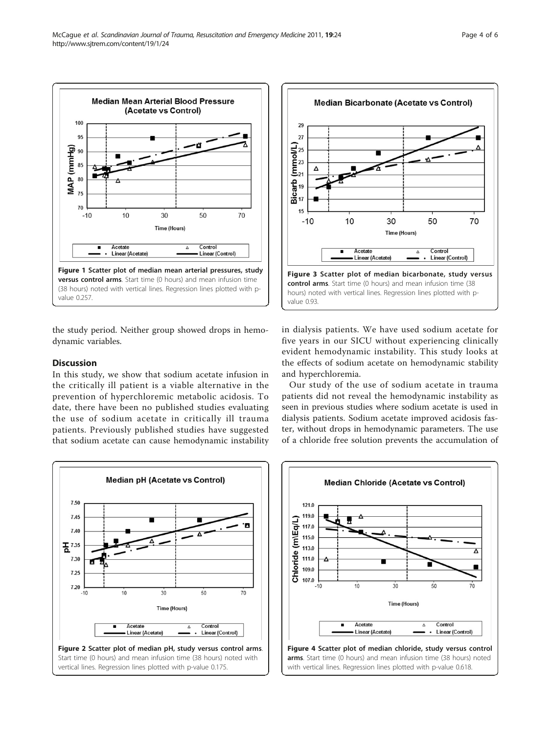<span id="page-3-0"></span>

the study period. Neither group showed drops in hemodynamic variables.

# Discussion

In this study, we show that sodium acetate infusion in the critically ill patient is a viable alternative in the prevention of hyperchloremic metabolic acidosis. To date, there have been no published studies evaluating the use of sodium acetate in critically ill trauma patients. Previously published studies have suggested that sodium acetate can cause hemodynamic instability





in dialysis patients. We have used sodium acetate for five years in our SICU without experiencing clinically evident hemodynamic instability. This study looks at the effects of sodium acetate on hemodynamic stability and hyperchloremia.

Our study of the use of sodium acetate in trauma patients did not reveal the hemodynamic instability as seen in previous studies where sodium acetate is used in dialysis patients. Sodium acetate improved acidosis faster, without drops in hemodynamic parameters. The use of a chloride free solution prevents the accumulation of



with vertical lines. Regression lines plotted with p-value 0.618.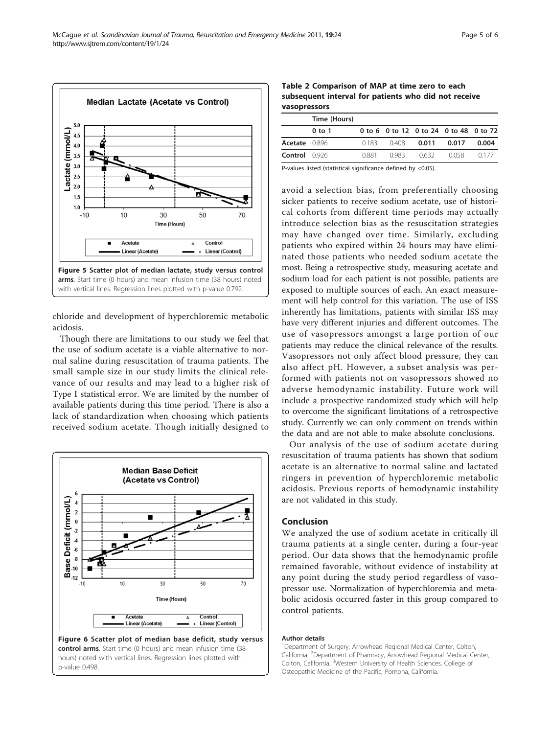<span id="page-4-0"></span>

chloride and development of hyperchloremic metabolic acidosis.

Though there are limitations to our study we feel that the use of sodium acetate is a viable alternative to normal saline during resuscitation of trauma patients. The small sample size in our study limits the clinical relevance of our results and may lead to a higher risk of Type I statistical error. We are limited by the number of available patients during this time period. There is also a lack of standardization when choosing which patients received sodium acetate. Though initially designed to



Table 2 Comparison of MAP at time zero to each subsequent interval for patients who did not receive vasopressors

|                        | Time (Hours) |       |                                        |       |       |       |
|------------------------|--------------|-------|----------------------------------------|-------|-------|-------|
|                        | 0 to 1       |       | 0 to 6 0 to 12 0 to 24 0 to 48 0 to 72 |       |       |       |
| Acetate 0.896          |              | 0.183 | 0.408                                  | 0.011 | 0.017 | 0.004 |
| <b>Control</b> $0.926$ |              | O 881 | 0.983                                  | 0632  | 0058  | 0.177 |

P-values listed (statistical significance defined by <0.05).

avoid a selection bias, from preferentially choosing sicker patients to receive sodium acetate, use of historical cohorts from different time periods may actually introduce selection bias as the resuscitation strategies may have changed over time. Similarly, excluding patients who expired within 24 hours may have eliminated those patients who needed sodium acetate the most. Being a retrospective study, measuring acetate and sodium load for each patient is not possible, patients are exposed to multiple sources of each. An exact measurement will help control for this variation. The use of ISS inherently has limitations, patients with similar ISS may have very different injuries and different outcomes. The use of vasopressors amongst a large portion of our patients may reduce the clinical relevance of the results. Vasopressors not only affect blood pressure, they can also affect pH. However, a subset analysis was performed with patients not on vasopressors showed no adverse hemodynamic instability. Future work will include a prospective randomized study which will help to overcome the significant limitations of a retrospective study. Currently we can only comment on trends within the data and are not able to make absolute conclusions.

Our analysis of the use of sodium acetate during resuscitation of trauma patients has shown that sodium acetate is an alternative to normal saline and lactated ringers in prevention of hyperchloremic metabolic acidosis. Previous reports of hemodynamic instability are not validated in this study.

### Conclusion

We analyzed the use of sodium acetate in critically ill trauma patients at a single center, during a four-year period. Our data shows that the hemodynamic profile remained favorable, without evidence of instability at any point during the study period regardless of vasopressor use. Normalization of hyperchloremia and metabolic acidosis occurred faster in this group compared to control patients.

#### Author details

<sup>1</sup>Department of Surgery, Arrowhead Regional Medical Center, Colton California. <sup>2</sup>Department of Pharmacy, Arrowhead Regional Medical Center, Colton, California. <sup>3</sup>Western University of Health Sciences, College of Osteopathic Medicine of the Pacific, Pomona, California.